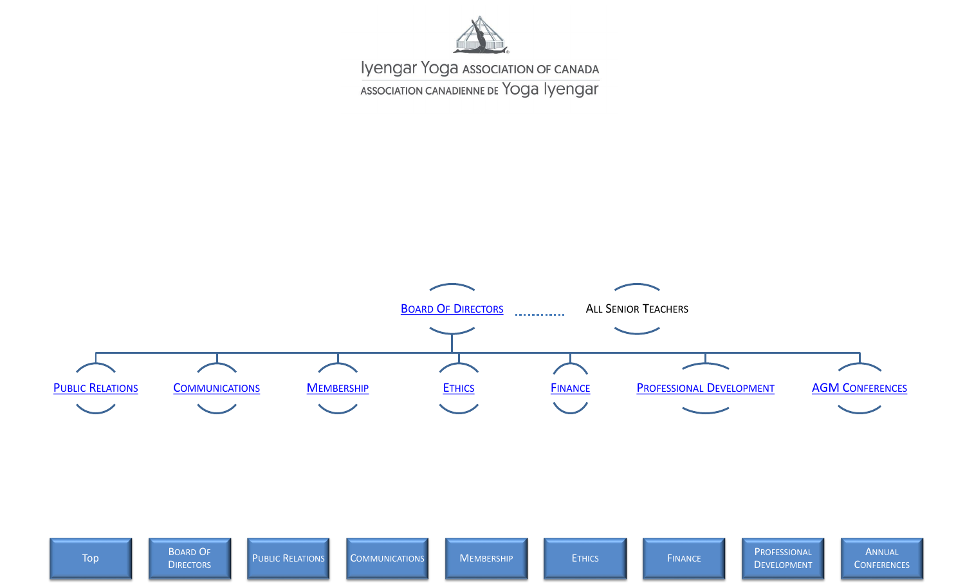

<span id="page-0-0"></span>

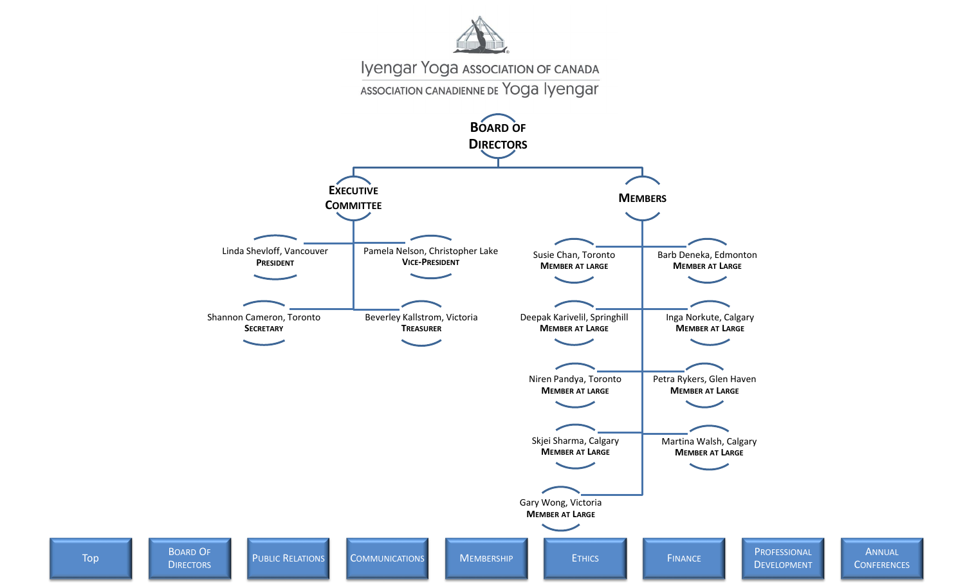

ASSOCIATION CANADIENNE DE YOGA lyengar

<span id="page-1-0"></span>

Top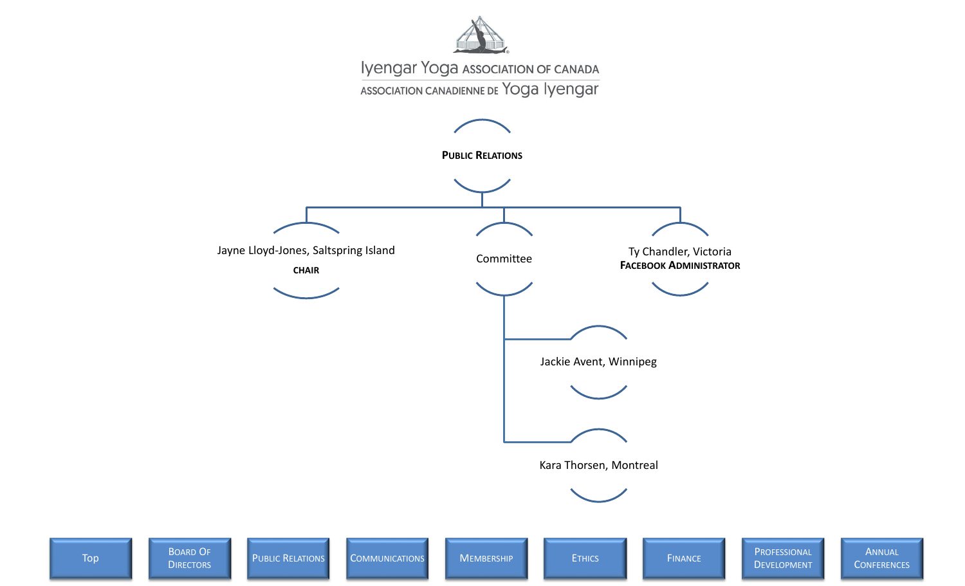

<span id="page-2-0"></span>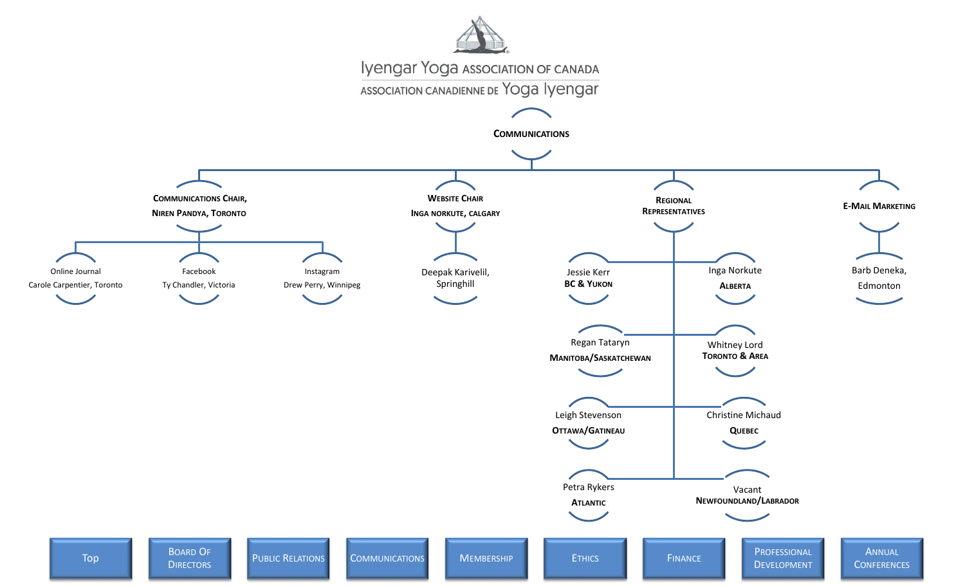

ASSOCIATION CANADIENNE DE YOGA lyengar

<span id="page-3-0"></span>**COMMUNICATIONS COMMUNICATIONS CHAIR, NIREN PANDYA, TORONTO** Online Journal Carole Carpentier, Toronto Facebook Ty Chandler, Victoria Instagram Drew Perry, Winnipeg **WEBSITE CHAIR INGA NORKUTE, CALGARY** Deepak Karivelil, Springhill **REGIONAL REPRESENTATIVES** Jessie Kerr **BC & YUKON** Inga Norkute **ALBERTA** Regan Tataryn **MANITOBA/SASKATCHEWAN** Whitney Lord **TORONTO & AREA** Leigh Stevenson **OTTAWA/GATINEAU** Christine Michaud **QUEBEC** Petra Rykers **ATLANTIC** Vacant **NEWFOUNDLAND/LABRADOR E-MAIL MARKETING** Barb Deneka, Edmonton



P[ROFESSIONAL](#page-7-0) DEVELOPMENT

ANNUAL **C[ONFERENCES](#page-10-0)**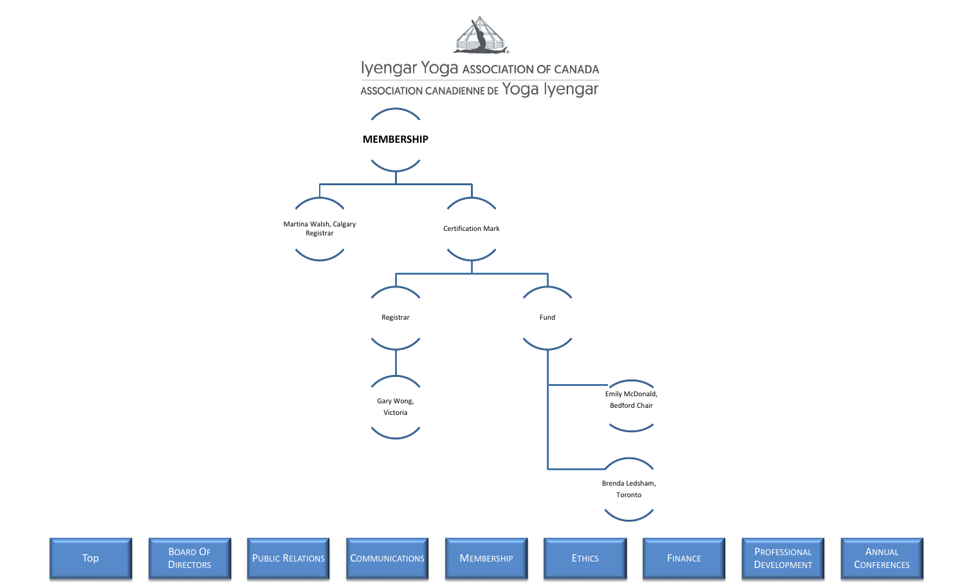

ASSOCIATION CANADIENNE DE YOGA Iyengar



## **MEMBERSHIP**

<span id="page-4-0"></span>

PUBLIC R[ELATIONS](#page-2-0) C[OMMUNICATIONS](#page-3-0) M[EMBERSHIP](#page-4-0) E[THICS](#page-5-0) F[INANCE](#page-6-0)

P[ROFESSIONAL](#page-7-0) DEVELOPMENT

ANNUAL **C[ONFERENCES](#page-10-0)** 

**D[IRECTORS](#page-1-0)**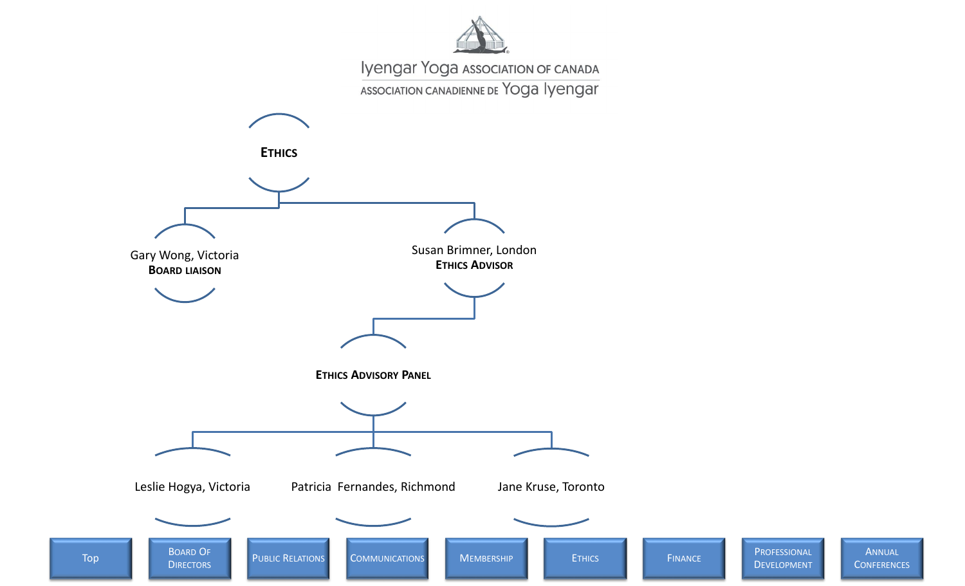

<span id="page-5-0"></span>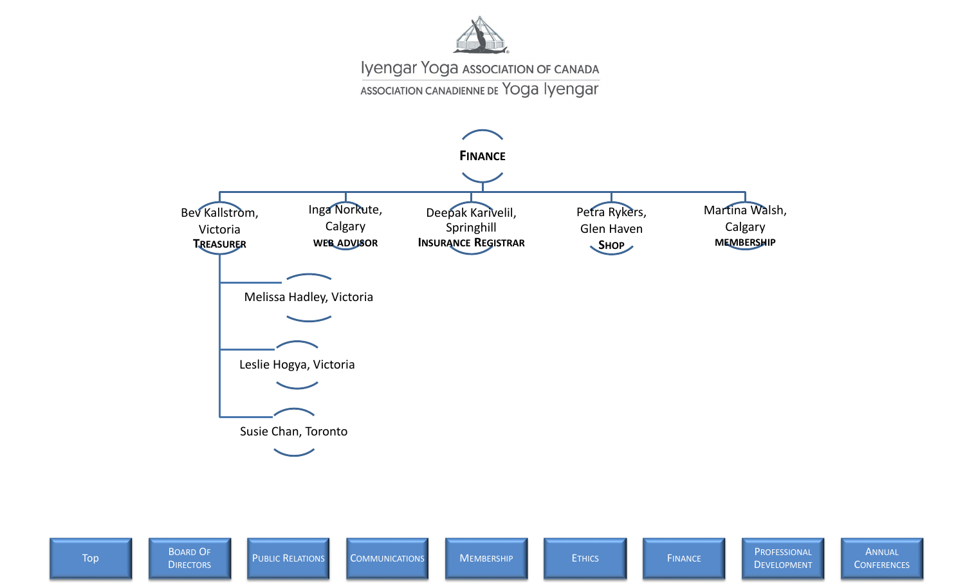

<span id="page-6-0"></span>

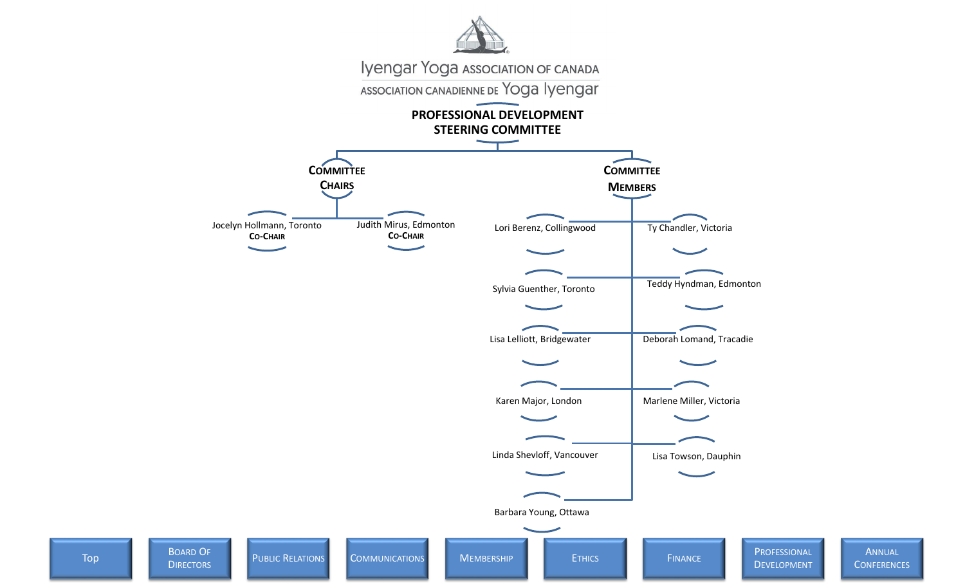<span id="page-7-0"></span>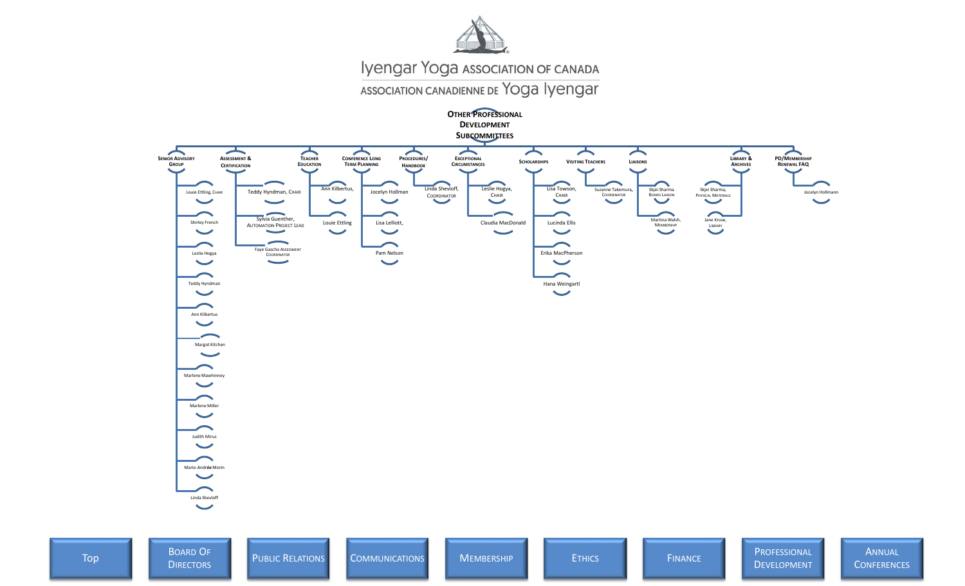

ASSOCIATION CANADIENNE DE YOGA Iyengar

**OTHER PROFESSIONAL DEVELOPMENT SUBCOMMITTEES**



[Top](#page-0-0) BOARD OF **D[IRECTORS](#page-1-0)** PUBLIC R[ELATIONS](#page-2-0) C[OMMUNICATIONS](#page-3-0) M[EMBERSHIP](#page-4-0) E[THICS](#page-5-0) F[INANCE](#page-6-0) P[ROFESSIONAL](#page-7-0) DEVELOPMENT ANNUAL **C[ONFERENCES](#page-10-0)** 

 $\overline{\phantom{0}}$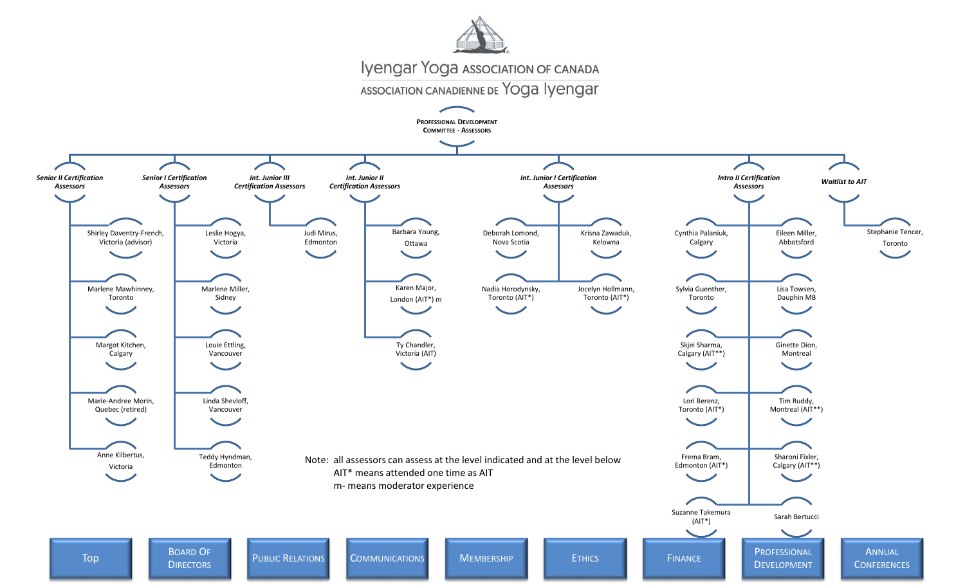